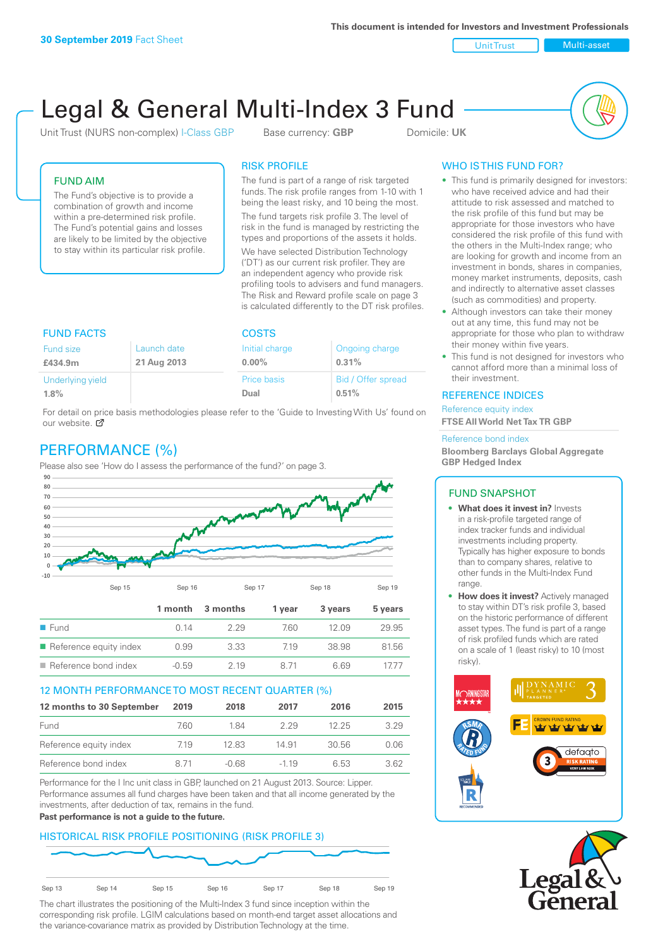**This document is intended for Investors and Investment Professionals**

Unit Trust Nulti-asset

# Legal & General Multi-Index 3 Fund

Unit Trust (NURS non-complex) I-Class GBP Base currency: **GBP** Domicile: UK



# FUND AIM

The Fund's objective is to provide a combination of growth and income within a pre-determined risk profile. The Fund's potential gains and losses are likely to be limited by the objective to stay within its particular risk profile.

# RISK PROFILE

The fund is part of a range of risk targeted funds. The risk profile ranges from 1-10 with 1 being the least risky, and 10 being the most.

The fund targets risk profile 3. The level of risk in the fund is managed by restricting the types and proportions of the assets it holds. We have selected Distribution Technology ('DT') as our current risk profiler. They are an independent agency who provide risk profiling tools to advisers and fund managers. The Risk and Reward profile scale on page 3 is calculated differently to the DT risk profiles.

| <b>FUND FACTS</b> |             | <b>COSTS</b>   |                    |  |
|-------------------|-------------|----------------|--------------------|--|
| Fund size         | Launch date | Initial charge | Ongoing charge     |  |
| £434.9m           | 21 Aug 2013 | $0.00\%$       | 0.31%              |  |
| Underlying yield  |             | Price basis    | Bid / Offer spread |  |
| 1.8%              |             | Dual           | 0.51%              |  |

For detail on price basis methodologies please refer to the 'Guide to Investing With Us' found on our website. Ø

# PERFORMANCE (%)

Please also see 'How do I assess the performance of the fund?' on page 3.



## 12 MONTH PERFORMANCE TO MOST RECENT QUARTER (%)

| 12 months to 30 September | 2019  | 2018    | 2017   | 2016  | 2015 |
|---------------------------|-------|---------|--------|-------|------|
| Fund                      | 760.  | 1 84    | 229    | 12.25 | 3.29 |
| Reference equity index    | 7.19  | 12.83   | 14.91  | 30.56 | 0.06 |
| Reference bond index      | 8 7 1 | $-0.68$ | $-119$ | 6.53  | 3.62 |

Performance for the I Inc unit class in GBP, launched on 21 August 2013. Source: Lipper. Performance assumes all fund charges have been taken and that all income generated by the investments, after deduction of tax, remains in the fund.

#### **Past performance is not a guide to the future.**

# HISTORICAL RISK PROFILE POSITIONING (RISK PROFILE 3)



The chart illustrates the positioning of the Multi-Index 3 fund since inception within the corresponding risk profile. LGIM calculations based on month-end target asset allocations and the variance-covariance matrix as provided by Distribution Technology at the time.

# WHO IS THIS FUND FOR?

- This fund is primarily designed for investors: who have received advice and had their attitude to risk assessed and matched to the risk profile of this fund but may be appropriate for those investors who have considered the risk profile of this fund with the others in the Multi-Index range; who are looking for growth and income from an investment in bonds, shares in companies, money market instruments, deposits, cash and indirectly to alternative asset classes (such as commodities) and property.
- Although investors can take their money out at any time, this fund may not be appropriate for those who plan to withdraw their money within five years.
- This fund is not designed for investors who cannot afford more than a minimal loss of their investment.

# REFERENCE INDICES

Reference equity index **FTSE All World Net Tax TR GBP**

#### Reference bond index

**Bloomberg Barclays Global Aggregate GBP Hedged Index**

## FUND SNAPSHOT

- **• What does it invest in?** Invests in a risk-profile targeted range of index tracker funds and individual investments including property. Typically has higher exposure to bonds than to company shares, relative to other funds in the Multi-Index Fund range.
- **• How does it invest?** Actively managed to stay within DT's risk profile 3, based on the historic performance of different asset types. The fund is part of a range of risk profiled funds which are rated on a scale of 1 (least risky) to 10 (most risky).



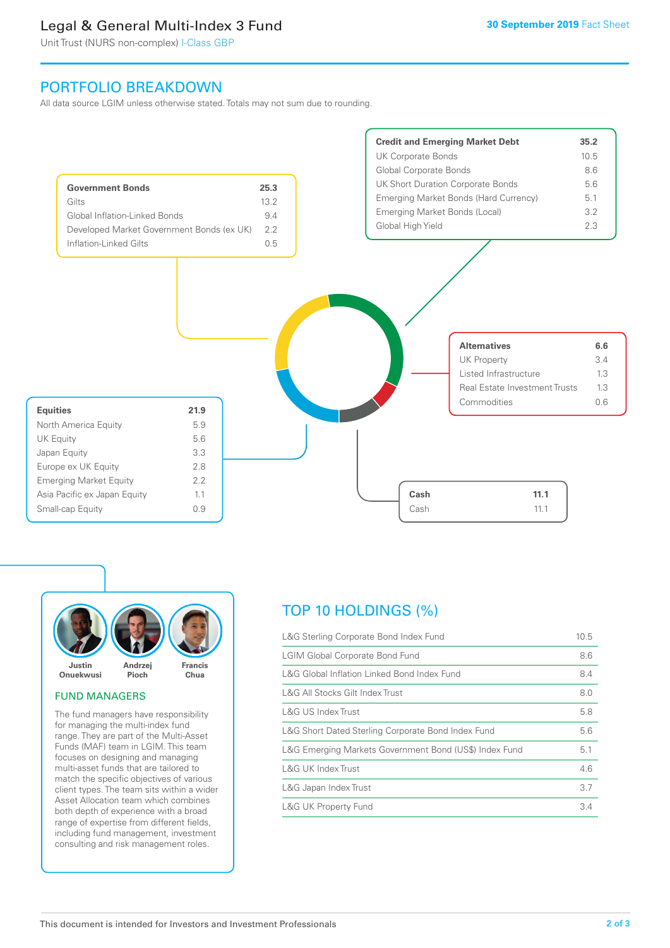# Legal & General Multi-Index 3 Fund

Unit Trust (NURS non-complex) I-Class GBP

# PORTFOLIO BREAKDOWN

All data source LGIM unless otherwise stated. Totals may not sum due to rounding.





#### FUND MANAGERS

The fund managers have responsibility for managing the multi-index fund range. They are part of the Multi-Asset Funds (MAF) team in LGIM. This team focuses on designing and managing multi-asset funds that are tailored to match the specific objectives of various client types. The team sits within a wider Asset Allocation team which combines both depth of experience with a broad range of expertise from different fields, including fund management, investment consulting and risk management roles.

# TOP 10 HOLDINGS (%)

| L&G Sterling Corporate Bond Index Fund                 | 10.5 |
|--------------------------------------------------------|------|
| <b>LGIM Global Corporate Bond Fund</b>                 | 8.6  |
| L&G Global Inflation Linked Bond Index Fund            | 8.4  |
| L&G All Stocks Gilt Index Trust                        | 8.0  |
| L&G US Index Trust                                     | 5.8  |
| L&G Short Dated Sterling Corporate Bond Index Fund     | 5.6  |
| L&G Emerging Markets Government Bond (US\$) Index Fund | 5.1  |
| <b>L&amp;G UK Index Trust</b>                          | 4.6  |
| L&G Japan Index Trust                                  | 3.7  |
| <b>L&amp;G UK Property Fund</b>                        | 3.4  |